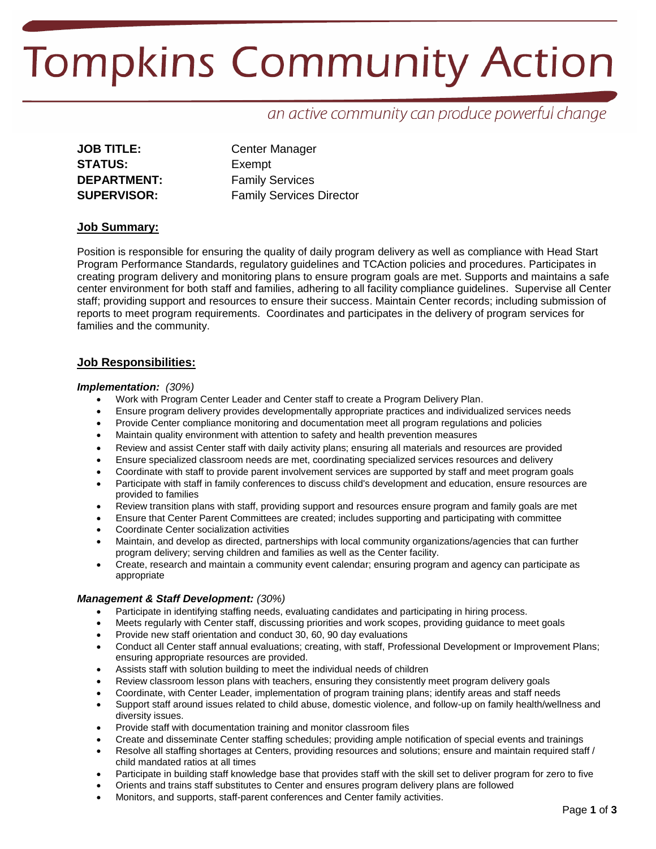# **Tompkins Community Action**

# an active community can produce powerful change

| <b>JOB TITLE:</b>  |
|--------------------|
| <b>STATUS:</b>     |
| DEPARTMENT:        |
| <b>SUPERVISOR:</b> |

**Center Manager** Exempt **Family Services SUPERVISOR:** Family Services Director

# **Job Summary:**

Position is responsible for ensuring the quality of daily program delivery as well as compliance with Head Start Program Performance Standards, regulatory guidelines and TCAction policies and procedures. Participates in creating program delivery and monitoring plans to ensure program goals are met. Supports and maintains a safe center environment for both staff and families, adhering to all facility compliance guidelines. Supervise all Center staff; providing support and resources to ensure their success. Maintain Center records; including submission of reports to meet program requirements. Coordinates and participates in the delivery of program services for families and the community.

# **Job Responsibilities:**

## *Implementation: (30%)*

- Work with Program Center Leader and Center staff to create a Program Delivery Plan.
- Ensure program delivery provides developmentally appropriate practices and individualized services needs
- Provide Center compliance monitoring and documentation meet all program regulations and policies
- Maintain quality environment with attention to safety and health prevention measures
- Review and assist Center staff with daily activity plans; ensuring all materials and resources are provided
- Ensure specialized classroom needs are met, coordinating specialized services resources and delivery
- Coordinate with staff to provide parent involvement services are supported by staff and meet program goals
- Participate with staff in family conferences to discuss child's development and education, ensure resources are provided to families
- Review transition plans with staff, providing support and resources ensure program and family goals are met
- Ensure that Center Parent Committees are created; includes supporting and participating with committee
- Coordinate Center socialization activities
- Maintain, and develop as directed, partnerships with local community organizations/agencies that can further program delivery; serving children and families as well as the Center facility.
- Create, research and maintain a community event calendar; ensuring program and agency can participate as appropriate

## *Management & Staff Development: (30%)*

- Participate in identifying staffing needs, evaluating candidates and participating in hiring process.
- Meets regularly with Center staff, discussing priorities and work scopes, providing guidance to meet goals
- Provide new staff orientation and conduct 30, 60, 90 day evaluations
- Conduct all Center staff annual evaluations; creating, with staff, Professional Development or Improvement Plans; ensuring appropriate resources are provided.
- Assists staff with solution building to meet the individual needs of children
- Review classroom lesson plans with teachers, ensuring they consistently meet program delivery goals
- Coordinate, with Center Leader, implementation of program training plans; identify areas and staff needs
- Support staff around issues related to child abuse, domestic violence, and follow-up on family health/wellness and diversity issues.
- Provide staff with documentation training and monitor classroom files
- Create and disseminate Center staffing schedules; providing ample notification of special events and trainings
- Resolve all staffing shortages at Centers, providing resources and solutions; ensure and maintain required staff / child mandated ratios at all times
- Participate in building staff knowledge base that provides staff with the skill set to deliver program for zero to five
- Orients and trains staff substitutes to Center and ensures program delivery plans are followed
- Monitors, and supports, staff-parent conferences and Center family activities.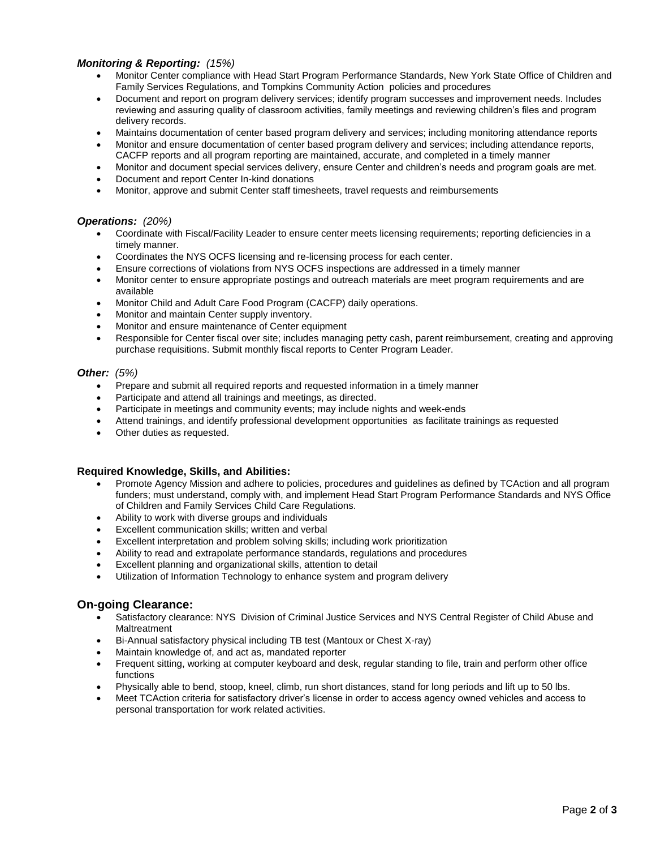# *Monitoring & Reporting: (15%)*

- Monitor Center compliance with Head Start Program Performance Standards, New York State Office of Children and Family Services Regulations, and Tompkins Community Action policies and procedures
- Document and report on program delivery services; identify program successes and improvement needs. Includes reviewing and assuring quality of classroom activities, family meetings and reviewing children's files and program delivery records.
- Maintains documentation of center based program delivery and services; including monitoring attendance reports
- Monitor and ensure documentation of center based program delivery and services; including attendance reports, CACFP reports and all program reporting are maintained, accurate, and completed in a timely manner
- Monitor and document special services delivery, ensure Center and children's needs and program goals are met.
- Document and report Center In-kind donations
- Monitor, approve and submit Center staff timesheets, travel requests and reimbursements

#### *Operations: (20%)*

- Coordinate with Fiscal/Facility Leader to ensure center meets licensing requirements; reporting deficiencies in a timely manner.
- Coordinates the NYS OCFS licensing and re-licensing process for each center.
- Ensure corrections of violations from NYS OCFS inspections are addressed in a timely manner
- Monitor center to ensure appropriate postings and outreach materials are meet program requirements and are available
- Monitor Child and Adult Care Food Program (CACFP) daily operations.
- Monitor and maintain Center supply inventory.
- Monitor and ensure maintenance of Center equipment
- Responsible for Center fiscal over site; includes managing petty cash, parent reimbursement, creating and approving purchase requisitions. Submit monthly fiscal reports to Center Program Leader.

#### *Other: (5%)*

- Prepare and submit all required reports and requested information in a timely manner
- Participate and attend all trainings and meetings, as directed.
- Participate in meetings and community events; may include nights and week-ends
- Attend trainings, and identify professional development opportunities as facilitate trainings as requested
- Other duties as requested.

## **Required Knowledge, Skills, and Abilities:**

- Promote Agency Mission and adhere to policies, procedures and guidelines as defined by TCAction and all program funders; must understand, comply with, and implement Head Start Program Performance Standards and NYS Office of Children and Family Services Child Care Regulations.
- Ability to work with diverse groups and individuals
- Excellent communication skills; written and verbal
- Excellent interpretation and problem solving skills; including work prioritization
- Ability to read and extrapolate performance standards, regulations and procedures
- Excellent planning and organizational skills, attention to detail
- Utilization of Information Technology to enhance system and program delivery

## **On-going Clearance:**

- Satisfactory clearance: NYS Division of Criminal Justice Services and NYS Central Register of Child Abuse and Maltreatment
- Bi-Annual satisfactory physical including TB test (Mantoux or Chest X-ray)
- Maintain knowledge of, and act as, mandated reporter
- Frequent sitting, working at computer keyboard and desk, regular standing to file, train and perform other office functions
- Physically able to bend, stoop, kneel, climb, run short distances, stand for long periods and lift up to 50 lbs.
- Meet TCAction criteria for satisfactory driver's license in order to access agency owned vehicles and access to personal transportation for work related activities.